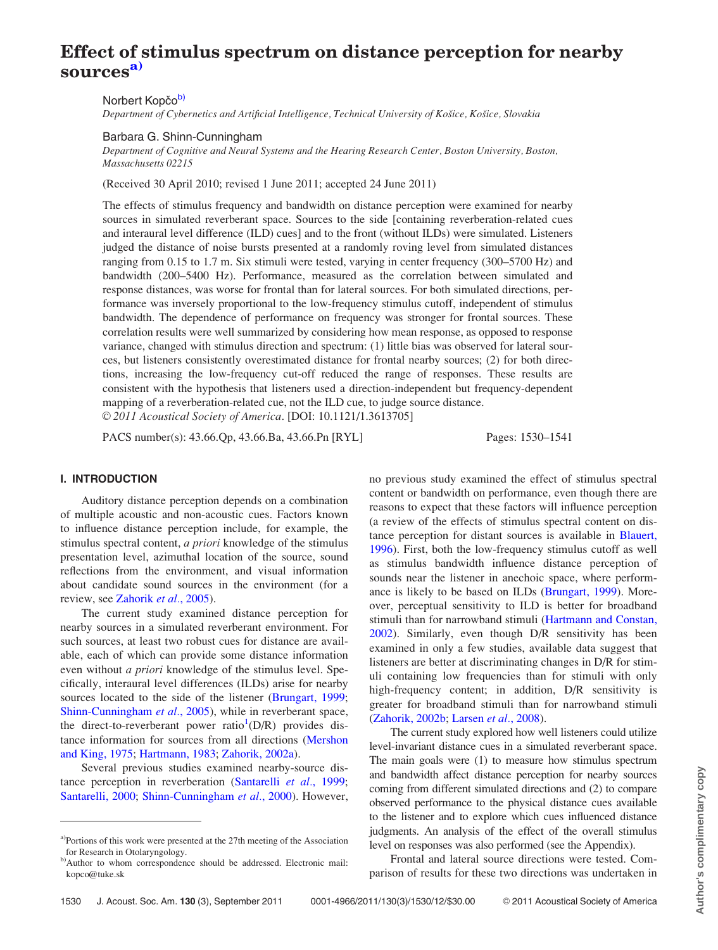# Effect of stimulus spectrum on distance perception for nearby sources<sup>a)</sup>

Norbert Kopčo<sup>b)</sup>

Department of Cybernetics and Artificial Intelligence, Technical University of Košice, Košice, Slovakia

# Barbara G. Shinn-Cunningham

Department of Cognitive and Neural Systems and the Hearing Research Center, Boston University, Boston, Massachusetts 02215

(Received 30 April 2010; revised 1 June 2011; accepted 24 June 2011)

The effects of stimulus frequency and bandwidth on distance perception were examined for nearby sources in simulated reverberant space. Sources to the side [containing reverberation-related cues and interaural level difference (ILD) cues] and to the front (without ILDs) were simulated. Listeners judged the distance of noise bursts presented at a randomly roving level from simulated distances ranging from 0.15 to 1.7 m. Six stimuli were tested, varying in center frequency (300–5700 Hz) and bandwidth (200–5400 Hz). Performance, measured as the correlation between simulated and response distances, was worse for frontal than for lateral sources. For both simulated directions, performance was inversely proportional to the low-frequency stimulus cutoff, independent of stimulus bandwidth. The dependence of performance on frequency was stronger for frontal sources. These correlation results were well summarized by considering how mean response, as opposed to response variance, changed with stimulus direction and spectrum: (1) little bias was observed for lateral sources, but listeners consistently overestimated distance for frontal nearby sources; (2) for both directions, increasing the low-frequency cut-off reduced the range of responses. These results are consistent with the hypothesis that listeners used a direction-independent but frequency-dependent mapping of a reverberation-related cue, not the ILD cue, to judge source distance. V<sup>C</sup> 2011 Acoustical Society of America. [DOI: 10.1121/1.3613705]

PACS number(s): 43.66.Qp, 43.66.Ba, 43.66.Pn [RYL] Pages: 1530–1541

# I. INTRODUCTION

Auditory distance perception depends on a combination of multiple acoustic and non-acoustic cues. Factors known to influence distance perception include, for example, the stimulus spectral content, a priori knowledge of the stimulus presentation level, azimuthal location of the source, sound reflections from the environment, and visual information about candidate sound sources in the environment (for a review, see [Zahorik](#page-11-0) et al., 2005).

The current study examined distance perception for nearby sources in a simulated reverberant environment. For such sources, at least two robust cues for distance are available, each of which can provide some distance information even without a priori knowledge of the stimulus level. Specifically, interaural level differences (ILDs) arise for nearby sources located to the side of the listener [\(Brungart, 1999](#page-11-0); [Shinn-Cunningham](#page-11-0) et al., 2005), while in reverberant space, the direct-to-reverberant power ratio<sup>[1](#page-11-0)</sup>(D/R) provides distance information for sources from all directions [\(Mershon](#page-11-0) [and King, 1975;](#page-11-0) [Hartmann, 1983](#page-11-0); [Zahorik, 2002a\)](#page-11-0).

Several previous studies examined nearby-source dis-tance perception in reverberation [\(Santarelli](#page-11-0) *et al.*, 1999; [Santarelli, 2000;](#page-11-0) [Shinn-Cunningham](#page-11-0) et al., 2000). However,

no previous study examined the effect of stimulus spectral content or bandwidth on performance, even though there are reasons to expect that these factors will influence perception (a review of the effects of stimulus spectral content on distance perception for distant sources is available in [Blauert,](#page-11-0) [1996\)](#page-11-0). First, both the low-frequency stimulus cutoff as well as stimulus bandwidth influence distance perception of sounds near the listener in anechoic space, where performance is likely to be based on ILDs ([Brungart, 1999](#page-11-0)). Moreover, perceptual sensitivity to ILD is better for broadband stimuli than for narrowband stimuli ([Hartmann and Constan,](#page-11-0) [2002\)](#page-11-0). Similarly, even though D/R sensitivity has been examined in only a few studies, available data suggest that listeners are better at discriminating changes in D/R for stimuli containing low frequencies than for stimuli with only high-frequency content; in addition, D/R sensitivity is greater for broadband stimuli than for narrowband stimuli [\(Zahorik, 2002b](#page-11-0); [Larsen](#page-11-0) et al., 2008).

The current study explored how well listeners could utilize level-invariant distance cues in a simulated reverberant space. The main goals were (1) to measure how stimulus spectrum and bandwidth affect distance perception for nearby sources coming from different simulated directions and (2) to compare observed performance to the physical distance cues available to the listener and to explore which cues influenced distance judgments. An analysis of the effect of the overall stimulus level on responses was also performed (see the Appendix).

Frontal and lateral source directions were tested. Comparison of results for these two directions was undertaken in

**Author's complimentary copy**Author's complimentary copy

a)Portions of this work were presented at the 27th meeting of the Association for Research in Otolaryngology.

b)Author to whom correspondence should be addressed. Electronic mail: kopco@tuke.sk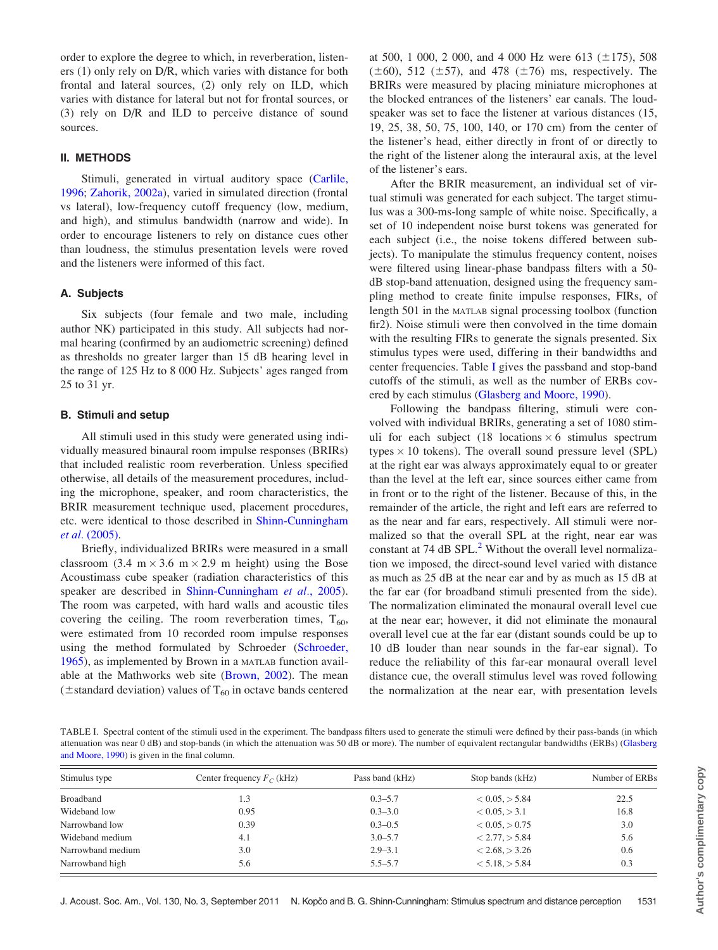<span id="page-1-0"></span>order to explore the degree to which, in reverberation, listeners (1) only rely on D/R, which varies with distance for both frontal and lateral sources, (2) only rely on ILD, which varies with distance for lateral but not for frontal sources, or (3) rely on D/R and ILD to perceive distance of sound sources.

# II. METHODS

Stimuli, generated in virtual auditory space [\(Carlile,](#page-11-0) [1996;](#page-11-0) [Zahorik, 2002a\)](#page-11-0), varied in simulated direction (frontal vs lateral), low-frequency cutoff frequency (low, medium, and high), and stimulus bandwidth (narrow and wide). In order to encourage listeners to rely on distance cues other than loudness, the stimulus presentation levels were roved and the listeners were informed of this fact.

# A. Subjects

Six subjects (four female and two male, including author NK) participated in this study. All subjects had normal hearing (confirmed by an audiometric screening) defined as thresholds no greater larger than 15 dB hearing level in the range of 125 Hz to 8 000 Hz. Subjects' ages ranged from 25 to 31 yr.

# B. Stimuli and setup

All stimuli used in this study were generated using individually measured binaural room impulse responses (BRIRs) that included realistic room reverberation. Unless specified otherwise, all details of the measurement procedures, including the microphone, speaker, and room characteristics, the BRIR measurement technique used, placement procedures, etc. were identical to those described in [Shinn-Cunningham](#page-11-0) et al. [\(2005\).](#page-11-0)

Briefly, individualized BRIRs were measured in a small classroom  $(3.4 \text{ m} \times 3.6 \text{ m} \times 2.9 \text{ m} \text{ height})$  using the Bose Acoustimass cube speaker (radiation characteristics of this speaker are described in [Shinn-Cunningham](#page-11-0) et al., 2005). The room was carpeted, with hard walls and acoustic tiles covering the ceiling. The room reverberation times,  $T_{60}$ , were estimated from 10 recorded room impulse responses using the method formulated by Schroeder ([Schroeder,](#page-11-0) [1965\)](#page-11-0), as implemented by Brown in a MATLAB function available at the Mathworks web site ([Brown, 2002\)](#page-11-0). The mean ( $\pm$ standard deviation) values of T<sub>60</sub> in octave bands centered at 500, 1 000, 2 000, and 4 000 Hz were 613 ( $\pm$ 175), 508  $(\pm 60)$ , 512 ( $\pm 57$ ), and 478 ( $\pm 76$ ) ms, respectively. The BRIRs were measured by placing miniature microphones at the blocked entrances of the listeners' ear canals. The loudspeaker was set to face the listener at various distances (15, 19, 25, 38, 50, 75, 100, 140, or 170 cm) from the center of the listener's head, either directly in front of or directly to the right of the listener along the interaural axis, at the level of the listener's ears.

After the BRIR measurement, an individual set of virtual stimuli was generated for each subject. The target stimulus was a 300-ms-long sample of white noise. Specifically, a set of 10 independent noise burst tokens was generated for each subject (i.e., the noise tokens differed between subjects). To manipulate the stimulus frequency content, noises were filtered using linear-phase bandpass filters with a 50 dB stop-band attenuation, designed using the frequency sampling method to create finite impulse responses, FIRs, of length 501 in the MATLAB signal processing toolbox (function fir2). Noise stimuli were then convolved in the time domain with the resulting FIRs to generate the signals presented. Six stimulus types were used, differing in their bandwidths and center frequencies. Table I gives the passband and stop-band cutoffs of the stimuli, as well as the number of ERBs covered by each stimulus [\(Glasberg and Moore, 1990\)](#page-11-0).

Following the bandpass filtering, stimuli were convolved with individual BRIRs, generating a set of 1080 stimuli for each subject  $(18 \text{ locations} \times 6 \text{ stimulus spectrum})$ types  $\times$  10 tokens). The overall sound pressure level (SPL) at the right ear was always approximately equal to or greater than the level at the left ear, since sources either came from in front or to the right of the listener. Because of this, in the remainder of the article, the right and left ears are referred to as the near and far ears, respectively. All stimuli were normalized so that the overall SPL at the right, near ear was constant at 74 dB SPL.<sup>2</sup> Without the overall level normalization we imposed, the direct-sound level varied with distance as much as 25 dB at the near ear and by as much as 15 dB at the far ear (for broadband stimuli presented from the side). The normalization eliminated the monaural overall level cue at the near ear; however, it did not eliminate the monaural overall level cue at the far ear (distant sounds could be up to 10 dB louder than near sounds in the far-ear signal). To reduce the reliability of this far-ear monaural overall level distance cue, the overall stimulus level was roved following the normalization at the near ear, with presentation levels

TABLE I. Spectral content of the stimuli used in the experiment. The bandpass filters used to generate the stimuli were defined by their pass-bands (in which attenuation was near 0 dB) and stop-bands (in which the attenuation was 50 dB or more). The number of equivalent rectangular bandwidths (ERBs) ([Glasberg](#page-11-0) [and Moore, 1990](#page-11-0)) is given in the final column.

| Stimulus type     | Center frequency $F_C$ (kHz) | Pass band (kHz) | Stop bands (kHz)    | Number of ERBs<br>22.5 |  |
|-------------------|------------------------------|-----------------|---------------------|------------------------|--|
| <b>Broadband</b>  | 1.3                          | $0.3 - 5.7$     | $< 0.05$ , $> 5.84$ |                        |  |
| Wideband low      | 0.95                         | $0.3 - 3.0$     | $< 0.05$ , $> 3.1$  | 16.8                   |  |
| Narrowband low    | 0.39                         | $0.3 - 0.5$     | $< 0.05$ , $> 0.75$ | 3.0                    |  |
| Wideband medium   | 4.1                          | $3.0 - 5.7$     | < 2.77 > 5.84       | 5.6                    |  |
| Narrowband medium | 3.0                          | $2.9 - 3.1$     | < 2.68, > 3.26      | 0.6                    |  |
| Narrowband high   | 5.6                          | $5.5 - 5.7$     | < 5.18, > 5.84      | 0.3                    |  |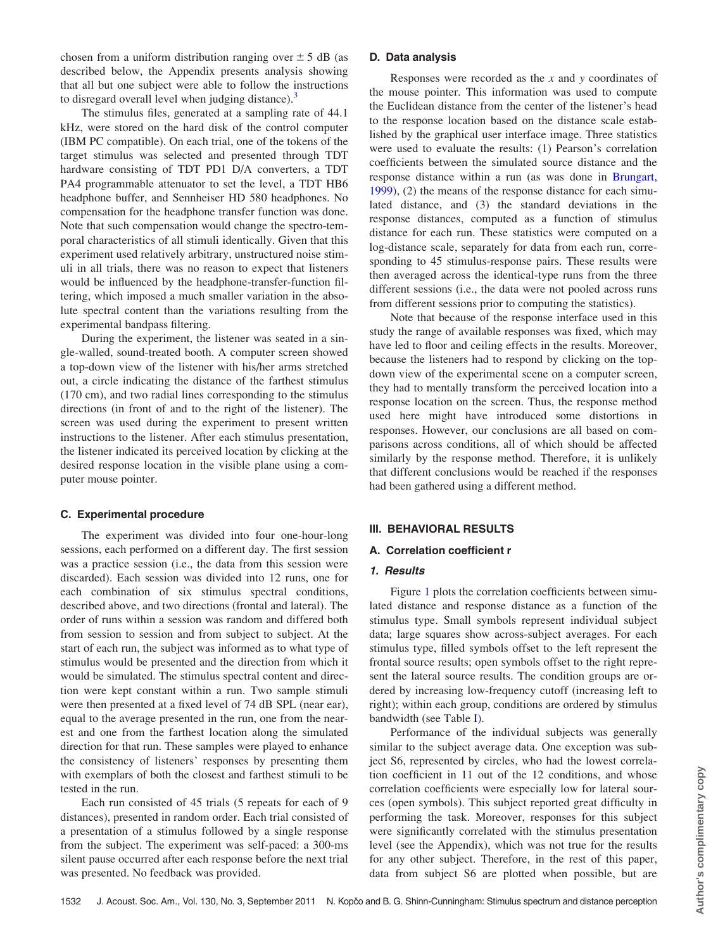chosen from a uniform distribution ranging over  $\pm$  5 dB (as described below, the Appendix presents analysis showing that all but one subject were able to follow the instructions to disregard overall level when judging distance). $3$ 

The stimulus files, generated at a sampling rate of 44.1 kHz, were stored on the hard disk of the control computer (IBM PC compatible). On each trial, one of the tokens of the target stimulus was selected and presented through TDT hardware consisting of TDT PD1 D/A converters, a TDT PA4 programmable attenuator to set the level, a TDT HB6 headphone buffer, and Sennheiser HD 580 headphones. No compensation for the headphone transfer function was done. Note that such compensation would change the spectro-temporal characteristics of all stimuli identically. Given that this experiment used relatively arbitrary, unstructured noise stimuli in all trials, there was no reason to expect that listeners would be influenced by the headphone-transfer-function filtering, which imposed a much smaller variation in the absolute spectral content than the variations resulting from the experimental bandpass filtering.

During the experiment, the listener was seated in a single-walled, sound-treated booth. A computer screen showed a top-down view of the listener with his/her arms stretched out, a circle indicating the distance of the farthest stimulus (170 cm), and two radial lines corresponding to the stimulus directions (in front of and to the right of the listener). The screen was used during the experiment to present written instructions to the listener. After each stimulus presentation, the listener indicated its perceived location by clicking at the desired response location in the visible plane using a computer mouse pointer.

## C. Experimental procedure

The experiment was divided into four one-hour-long sessions, each performed on a different day. The first session was a practice session (i.e., the data from this session were discarded). Each session was divided into 12 runs, one for each combination of six stimulus spectral conditions, described above, and two directions (frontal and lateral). The order of runs within a session was random and differed both from session to session and from subject to subject. At the start of each run, the subject was informed as to what type of stimulus would be presented and the direction from which it would be simulated. The stimulus spectral content and direction were kept constant within a run. Two sample stimuli were then presented at a fixed level of 74 dB SPL (near ear), equal to the average presented in the run, one from the nearest and one from the farthest location along the simulated direction for that run. These samples were played to enhance the consistency of listeners' responses by presenting them with exemplars of both the closest and farthest stimuli to be tested in the run.

Each run consisted of 45 trials (5 repeats for each of 9 distances), presented in random order. Each trial consisted of a presentation of a stimulus followed by a single response from the subject. The experiment was self-paced: a 300-ms silent pause occurred after each response before the next trial was presented. No feedback was provided.

## D. Data analysis

Responses were recorded as the  $x$  and  $y$  coordinates of the mouse pointer. This information was used to compute the Euclidean distance from the center of the listener's head to the response location based on the distance scale established by the graphical user interface image. Three statistics were used to evaluate the results: (1) Pearson's correlation coefficients between the simulated source distance and the response distance within a run (as was done in [Brungart,](#page-11-0) [1999](#page-11-0)), (2) the means of the response distance for each simulated distance, and (3) the standard deviations in the response distances, computed as a function of stimulus distance for each run. These statistics were computed on a log-distance scale, separately for data from each run, corresponding to 45 stimulus-response pairs. These results were then averaged across the identical-type runs from the three different sessions (i.e., the data were not pooled across runs from different sessions prior to computing the statistics).

Note that because of the response interface used in this study the range of available responses was fixed, which may have led to floor and ceiling effects in the results. Moreover, because the listeners had to respond by clicking on the topdown view of the experimental scene on a computer screen, they had to mentally transform the perceived location into a response location on the screen. Thus, the response method used here might have introduced some distortions in responses. However, our conclusions are all based on comparisons across conditions, all of which should be affected similarly by the response method. Therefore, it is unlikely that different conclusions would be reached if the responses had been gathered using a different method.

# III. BEHAVIORAL RESULTS

#### A. Correlation coefficient r

## 1. Results

Figure [1](#page-3-0) plots the correlation coefficients between simulated distance and response distance as a function of the stimulus type. Small symbols represent individual subject data; large squares show across-subject averages. For each stimulus type, filled symbols offset to the left represent the frontal source results; open symbols offset to the right represent the lateral source results. The condition groups are ordered by increasing low-frequency cutoff (increasing left to right); within each group, conditions are ordered by stimulus bandwidth (see Table [I](#page-1-0)).

Performance of the individual subjects was generally similar to the subject average data. One exception was subject S6, represented by circles, who had the lowest correlation coefficient in 11 out of the 12 conditions, and whose correlation coefficients were especially low for lateral sources (open symbols). This subject reported great difficulty in performing the task. Moreover, responses for this subject were significantly correlated with the stimulus presentation level (see the Appendix), which was not true for the results for any other subject. Therefore, in the rest of this paper, data from subject S6 are plotted when possible, but are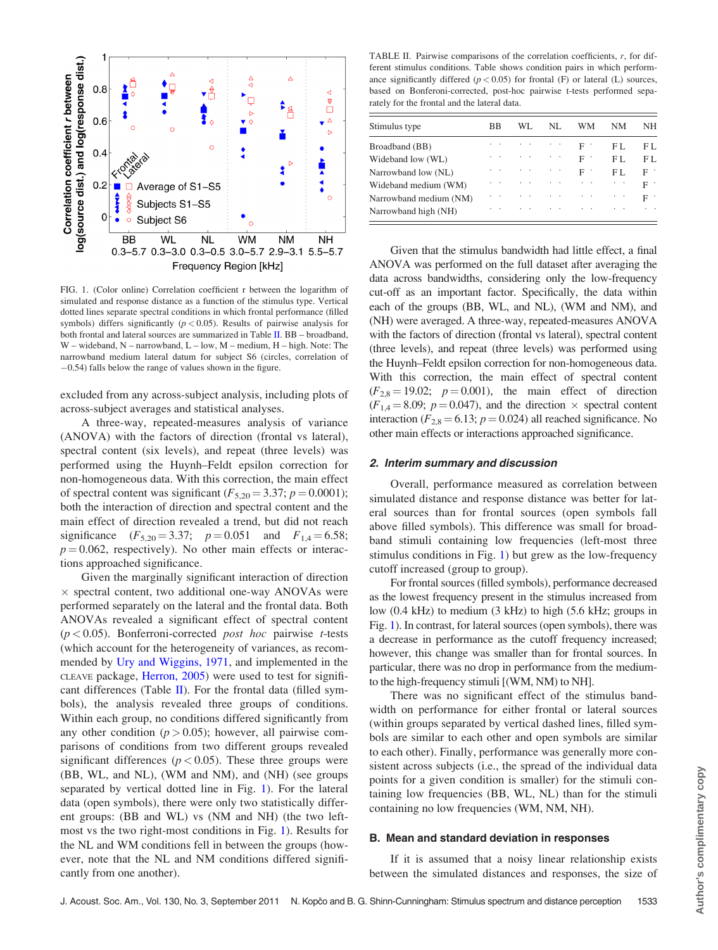<span id="page-3-0"></span>

FIG. 1. (Color online) Correlation coefficient r between the logarithm of simulated and response distance as a function of the stimulus type. Vertical dotted lines separate spectral conditions in which frontal performance (filled symbols) differs significantly ( $p < 0.05$ ). Results of pairwise analysis for both frontal and lateral sources are summarized in Table II. BB – broadband, W – wideband, N – narrowband, L – low, M – medium, H – high. Note: The narrowband medium lateral datum for subject S6 (circles, correlation of  $-0.54$ ) falls below the range of values shown in the figure.

excluded from any across-subject analysis, including plots of across-subject averages and statistical analyses.

A three-way, repeated-measures analysis of variance (ANOVA) with the factors of direction (frontal vs lateral), spectral content (six levels), and repeat (three levels) was performed using the Huynh–Feldt epsilon correction for non-homogeneous data. With this correction, the main effect of spectral content was significant  $(F_{5,20} = 3.37; p = 0.0001);$ both the interaction of direction and spectral content and the main effect of direction revealed a trend, but did not reach significance  $(F_{5,20} = 3.37; p = 0.051$  and  $F_{1,4} = 6.58;$  $p = 0.062$ , respectively). No other main effects or interactions approached significance.

Given the marginally significant interaction of direction  $\times$  spectral content, two additional one-way ANOVAs were performed separately on the lateral and the frontal data. Both ANOVAs revealed a significant effect of spectral content  $(p < 0.05)$ . Bonferroni-corrected post hoc pairwise t-tests (which account for the heterogeneity of variances, as recommended by [Ury and Wiggins, 1971](#page-11-0), and implemented in the CLEAVE package, [Herron, 2005](#page-11-0)) were used to test for significant differences (Table II). For the frontal data (filled symbols), the analysis revealed three groups of conditions. Within each group, no conditions differed significantly from any other condition ( $p > 0.05$ ); however, all pairwise comparisons of conditions from two different groups revealed significant differences ( $p < 0.05$ ). These three groups were (BB, WL, and NL), (WM and NM), and (NH) (see groups separated by vertical dotted line in Fig. 1). For the lateral data (open symbols), there were only two statistically different groups: (BB and WL) vs (NM and NH) (the two leftmost vs the two right-most conditions in Fig. 1). Results for the NL and WM conditions fell in between the groups (however, note that the NL and NM conditions differed significantly from one another).

TABLE II. Pairwise comparisons of the correlation coefficients,  $r$ , for different stimulus conditions. Table shows condition pairs in which performance significantly differed  $(p < 0.05)$  for frontal (F) or lateral (L) sources, based on Bonferoni-corrected, post-hoc pairwise t-tests performed separately for the frontal and the lateral data.

| Stimulus type          | BB | WL.                | NL                       | WМ                                  | NΜ                       | NΗ                  |
|------------------------|----|--------------------|--------------------------|-------------------------------------|--------------------------|---------------------|
| Broadband (BB)         |    |                    |                          | F                                   | FL.                      | F L                 |
| Wideband low (WL)      |    | $\cdot$<br>$\cdot$ | $\cdot$                  | F                                   | FL.                      | FL.                 |
| Narrowband low (NL)    |    |                    | ٠                        | F                                   | FL.                      | F                   |
| Wideband medium (WM)   |    |                    |                          |                                     | $\overline{\phantom{a}}$ | F                   |
| Narrowband medium (NM) |    |                    | $\overline{\phantom{a}}$ | $\overline{\phantom{a}}$<br>$\cdot$ | $\overline{\phantom{a}}$ | F<br>$\blacksquare$ |
| Narrowband high (NH)   |    |                    | $\cdot$                  | $\cdot$                             |                          |                     |

Given that the stimulus bandwidth had little effect, a final ANOVA was performed on the full dataset after averaging the data across bandwidths, considering only the low-frequency cut-off as an important factor. Specifically, the data within each of the groups (BB, WL, and NL), (WM and NM), and (NH) were averaged. A three-way, repeated-measures ANOVA with the factors of direction (frontal vs lateral), spectral content (three levels), and repeat (three levels) was performed using the Huynh–Feldt epsilon correction for non-homogeneous data. With this correction, the main effect of spectral content  $(F_{2,8} = 19.02; p = 0.001)$ , the main effect of direction  $(F_{1,4} = 8.09; p = 0.047)$ , and the direction  $\times$  spectral content interaction ( $F_{2,8} = 6.13$ ;  $p = 0.024$ ) all reached significance. No other main effects or interactions approached significance.

#### 2. Interim summary and discussion

Overall, performance measured as correlation between simulated distance and response distance was better for lateral sources than for frontal sources (open symbols fall above filled symbols). This difference was small for broadband stimuli containing low frequencies (left-most three stimulus conditions in Fig. 1) but grew as the low-frequency cutoff increased (group to group).

For frontal sources (filled symbols), performance decreased as the lowest frequency present in the stimulus increased from low (0.4 kHz) to medium (3 kHz) to high (5.6 kHz; groups in Fig. 1). In contrast, for lateral sources (open symbols), there was a decrease in performance as the cutoff frequency increased; however, this change was smaller than for frontal sources. In particular, there was no drop in performance from the mediumto the high-frequency stimuli [(WM, NM) to NH].

There was no significant effect of the stimulus bandwidth on performance for either frontal or lateral sources (within groups separated by vertical dashed lines, filled symbols are similar to each other and open symbols are similar to each other). Finally, performance was generally more consistent across subjects (i.e., the spread of the individual data points for a given condition is smaller) for the stimuli containing low frequencies (BB, WL, NL) than for the stimuli containing no low frequencies (WM, NM, NH).

#### B. Mean and standard deviation in responses

If it is assumed that a noisy linear relationship exists between the simulated distances and responses, the size of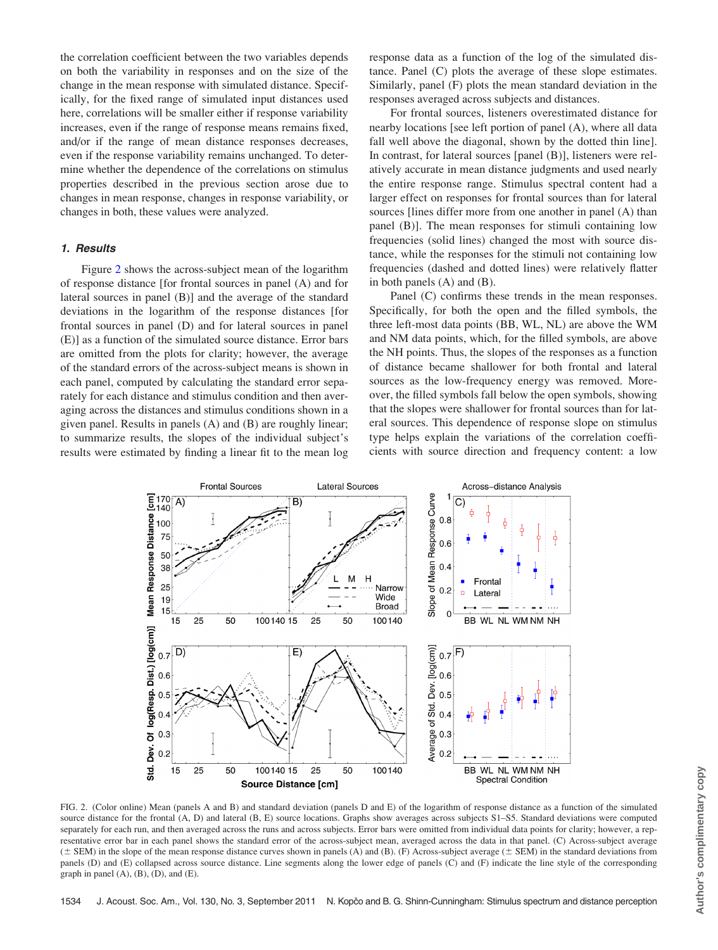<span id="page-4-0"></span>the correlation coefficient between the two variables depends on both the variability in responses and on the size of the change in the mean response with simulated distance. Specifically, for the fixed range of simulated input distances used here, correlations will be smaller either if response variability increases, even if the range of response means remains fixed, and/or if the range of mean distance responses decreases, even if the response variability remains unchanged. To determine whether the dependence of the correlations on stimulus properties described in the previous section arose due to changes in mean response, changes in response variability, or changes in both, these values were analyzed.

# 1. Results

Figure 2 shows the across-subject mean of the logarithm of response distance [for frontal sources in panel (A) and for lateral sources in panel (B)] and the average of the standard deviations in the logarithm of the response distances [for frontal sources in panel (D) and for lateral sources in panel (E)] as a function of the simulated source distance. Error bars are omitted from the plots for clarity; however, the average of the standard errors of the across-subject means is shown in each panel, computed by calculating the standard error separately for each distance and stimulus condition and then averaging across the distances and stimulus conditions shown in a given panel. Results in panels (A) and (B) are roughly linear; to summarize results, the slopes of the individual subject's results were estimated by finding a linear fit to the mean log response data as a function of the log of the simulated distance. Panel (C) plots the average of these slope estimates. Similarly, panel (F) plots the mean standard deviation in the responses averaged across subjects and distances.

For frontal sources, listeners overestimated distance for nearby locations [see left portion of panel (A), where all data fall well above the diagonal, shown by the dotted thin line]. In contrast, for lateral sources [panel (B)], listeners were relatively accurate in mean distance judgments and used nearly the entire response range. Stimulus spectral content had a larger effect on responses for frontal sources than for lateral sources [lines differ more from one another in panel (A) than panel (B)]. The mean responses for stimuli containing low frequencies (solid lines) changed the most with source distance, while the responses for the stimuli not containing low frequencies (dashed and dotted lines) were relatively flatter in both panels (A) and (B).

Panel (C) confirms these trends in the mean responses. Specifically, for both the open and the filled symbols, the three left-most data points (BB, WL, NL) are above the WM and NM data points, which, for the filled symbols, are above the NH points. Thus, the slopes of the responses as a function of distance became shallower for both frontal and lateral sources as the low-frequency energy was removed. Moreover, the filled symbols fall below the open symbols, showing that the slopes were shallower for frontal sources than for lateral sources. This dependence of response slope on stimulus type helps explain the variations of the correlation coefficients with source direction and frequency content: a low



FIG. 2. (Color online) Mean (panels A and B) and standard deviation (panels D and E) of the logarithm of response distance as a function of the simulated source distance for the frontal (A, D) and lateral (B, E) source locations. Graphs show averages across subjects S1–S5. Standard deviations were computed separately for each run, and then averaged across the runs and across subjects. Error bars were omitted from individual data points for clarity; however, a representative error bar in each panel shows the standard error of the across-subject mean, averaged across the data in that panel. (C) Across-subject average  $(±$  SEM) in the slope of the mean response distance curves shown in panels (A) and (B). (F) Across-subject average  $(±$  SEM) in the standard deviations from panels (D) and (E) collapsed across source distance. Line segments along the lower edge of panels (C) and (F) indicate the line style of the corresponding graph in panel  $(A)$ ,  $(B)$ ,  $(D)$ , and  $(E)$ .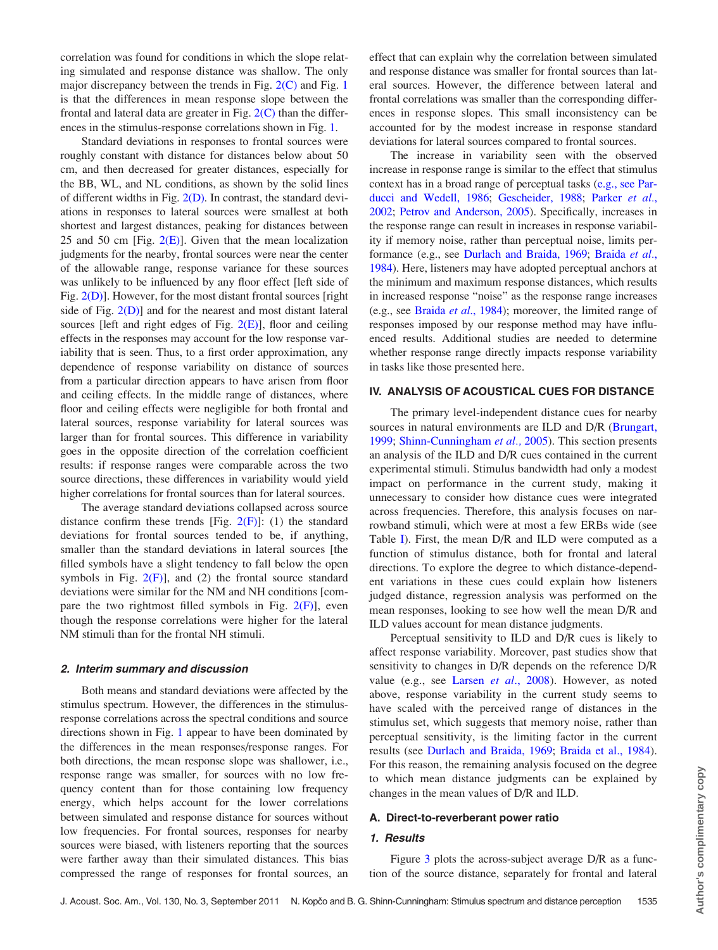correlation was found for conditions in which the slope relating simulated and response distance was shallow. The only major discrepancy between the trends in Fig.  $2(C)$  and Fig. [1](#page-3-0) is that the differences in mean response slope between the frontal and lateral data are greater in Fig.  $2(\mathcal{C})$  than the differences in the stimulus-response correlations shown in Fig. [1.](#page-3-0)

Standard deviations in responses to frontal sources were roughly constant with distance for distances below about 50 cm, and then decreased for greater distances, especially for the BB, WL, and NL conditions, as shown by the solid lines of different widths in Fig. [2\(D\)](#page-4-0). In contrast, the standard deviations in responses to lateral sources were smallest at both shortest and largest distances, peaking for distances between 25 and 50 cm [Fig.  $2(E)$ ]. Given that the mean localization judgments for the nearby, frontal sources were near the center of the allowable range, response variance for these sources was unlikely to be influenced by any floor effect [left side of Fig. [2\(D\)\]](#page-4-0). However, for the most distant frontal sources [right] side of Fig. [2\(D\)\]](#page-4-0) and for the nearest and most distant lateral sources [left and right edges of Fig.  $2(E)$ ], floor and ceiling effects in the responses may account for the low response variability that is seen. Thus, to a first order approximation, any dependence of response variability on distance of sources from a particular direction appears to have arisen from floor and ceiling effects. In the middle range of distances, where floor and ceiling effects were negligible for both frontal and lateral sources, response variability for lateral sources was larger than for frontal sources. This difference in variability goes in the opposite direction of the correlation coefficient results: if response ranges were comparable across the two source directions, these differences in variability would yield higher correlations for frontal sources than for lateral sources.

The average standard deviations collapsed across source distance confirm these trends [Fig.  $2(F)$ ]: (1) the standard deviations for frontal sources tended to be, if anything, smaller than the standard deviations in lateral sources [the filled symbols have a slight tendency to fall below the open symbols in Fig.  $2(F)$ ], and (2) the frontal source standard deviations were similar for the NM and NH conditions [compare the two rightmost filled symbols in Fig.  $2(F)$ ], even though the response correlations were higher for the lateral NM stimuli than for the frontal NH stimuli.

# 2. Interim summary and discussion

Both means and standard deviations were affected by the stimulus spectrum. However, the differences in the stimulusresponse correlations across the spectral conditions and source directions shown in Fig. [1](#page-3-0) appear to have been dominated by the differences in the mean responses/response ranges. For both directions, the mean response slope was shallower, i.e., response range was smaller, for sources with no low frequency content than for those containing low frequency energy, which helps account for the lower correlations between simulated and response distance for sources without low frequencies. For frontal sources, responses for nearby sources were biased, with listeners reporting that the sources were farther away than their simulated distances. This bias compressed the range of responses for frontal sources, an

effect that can explain why the correlation between simulated and response distance was smaller for frontal sources than lateral sources. However, the difference between lateral and frontal correlations was smaller than the corresponding differences in response slopes. This small inconsistency can be accounted for by the modest increase in response standard deviations for lateral sources compared to frontal sources.

The increase in variability seen with the observed increase in response range is similar to the effect that stimulus context has in a broad range of perceptual tasks ([e.g., see Par](#page-11-0)[ducci and Wedell, 1986](#page-11-0); [Gescheider, 1988;](#page-11-0) [Parker](#page-11-0) et al., [2002;](#page-11-0) [Petrov and Anderson, 2005\)](#page-11-0). Specifically, increases in the response range can result in increases in response variability if memory noise, rather than perceptual noise, limits performance (e.g., see [Durlach and Braida, 1969;](#page-11-0) [Braida](#page-11-0) et al., [1984\)](#page-11-0). Here, listeners may have adopted perceptual anchors at the minimum and maximum response distances, which results in increased response "noise" as the response range increases (e.g., see Braida et al[., 1984\)](#page-11-0); moreover, the limited range of responses imposed by our response method may have influenced results. Additional studies are needed to determine whether response range directly impacts response variability in tasks like those presented here.

#### IV. ANALYSIS OF ACOUSTICAL CUES FOR DISTANCE

The primary level-independent distance cues for nearby sources in natural environments are ILD and D/R [\(Brungart,](#page-11-0) [1999;](#page-11-0) [Shinn-Cunningham](#page-11-0) et al., 2005). This section presents an analysis of the ILD and D/R cues contained in the current experimental stimuli. Stimulus bandwidth had only a modest impact on performance in the current study, making it unnecessary to consider how distance cues were integrated across frequencies. Therefore, this analysis focuses on narrowband stimuli, which were at most a few ERBs wide (see Table [I\)](#page-1-0). First, the mean D/R and ILD were computed as a function of stimulus distance, both for frontal and lateral directions. To explore the degree to which distance-dependent variations in these cues could explain how listeners judged distance, regression analysis was performed on the mean responses, looking to see how well the mean D/R and ILD values account for mean distance judgments.

Perceptual sensitivity to ILD and D/R cues is likely to affect response variability. Moreover, past studies show that sensitivity to changes in D/R depends on the reference D/R value (e.g., see Larsen et al[., 2008](#page-11-0)). However, as noted above, response variability in the current study seems to have scaled with the perceived range of distances in the stimulus set, which suggests that memory noise, rather than perceptual sensitivity, is the limiting factor in the current results (see [Durlach and Braida, 1969](#page-11-0); [Braida et al., 1984\)](#page-11-0). For this reason, the remaining analysis focused on the degree to which mean distance judgments can be explained by changes in the mean values of D/R and ILD.

## A. Direct-to-reverberant power ratio

# 1. Results

Figure [3](#page-6-0) plots the across-subject average D/R as a function of the source distance, separately for frontal and lateral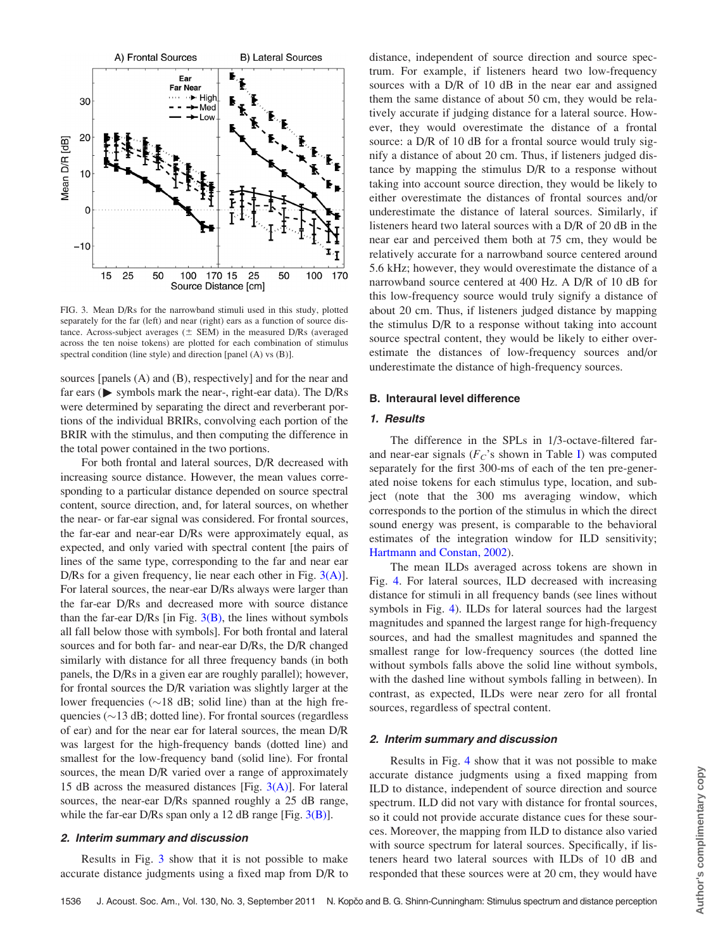<span id="page-6-0"></span>

FIG. 3. Mean D/Rs for the narrowband stimuli used in this study, plotted separately for the far (left) and near (right) ears as a function of source distance. Across-subject averages  $(\pm$  SEM) in the measured D/Rs (averaged across the ten noise tokens) are plotted for each combination of stimulus spectral condition (line style) and direction [panel (A) vs (B)].

sources [panels (A) and (B), respectively] and for the near and far ears ( $\triangleright$  symbols mark the near-, right-ear data). The D/Rs were determined by separating the direct and reverberant portions of the individual BRIRs, convolving each portion of the BRIR with the stimulus, and then computing the difference in the total power contained in the two portions.

For both frontal and lateral sources, D/R decreased with increasing source distance. However, the mean values corresponding to a particular distance depended on source spectral content, source direction, and, for lateral sources, on whether the near- or far-ear signal was considered. For frontal sources, the far-ear and near-ear D/Rs were approximately equal, as expected, and only varied with spectral content [the pairs of lines of the same type, corresponding to the far and near ear D/Rs for a given frequency, lie near each other in Fig. 3(A)]. For lateral sources, the near-ear D/Rs always were larger than the far-ear D/Rs and decreased more with source distance than the far-ear  $D/Rs$  [in Fig.  $3(B)$ , the lines without symbols all fall below those with symbols]. For both frontal and lateral sources and for both far- and near-ear D/Rs, the D/R changed similarly with distance for all three frequency bands (in both panels, the D/Rs in a given ear are roughly parallel); however, for frontal sources the D/R variation was slightly larger at the lower frequencies ( $\sim$ 18 dB; solid line) than at the high frequencies ( $\sim$ 13 dB; dotted line). For frontal sources (regardless of ear) and for the near ear for lateral sources, the mean D/R was largest for the high-frequency bands (dotted line) and smallest for the low-frequency band (solid line). For frontal sources, the mean D/R varied over a range of approximately 15 dB across the measured distances [Fig.  $3(A)$ ]. For lateral sources, the near-ear D/Rs spanned roughly a 25 dB range, while the far-ear D/Rs span only a 12 dB range [Fig.  $3(B)$ ].

## 2. Interim summary and discussion

Results in Fig. 3 show that it is not possible to make accurate distance judgments using a fixed map from D/R to distance, independent of source direction and source spectrum. For example, if listeners heard two low-frequency sources with a D/R of 10 dB in the near ear and assigned them the same distance of about 50 cm, they would be relatively accurate if judging distance for a lateral source. However, they would overestimate the distance of a frontal source: a D/R of 10 dB for a frontal source would truly signify a distance of about 20 cm. Thus, if listeners judged distance by mapping the stimulus D/R to a response without taking into account source direction, they would be likely to either overestimate the distances of frontal sources and/or underestimate the distance of lateral sources. Similarly, if listeners heard two lateral sources with a D/R of 20 dB in the near ear and perceived them both at 75 cm, they would be relatively accurate for a narrowband source centered around 5.6 kHz; however, they would overestimate the distance of a narrowband source centered at 400 Hz. A D/R of 10 dB for this low-frequency source would truly signify a distance of about 20 cm. Thus, if listeners judged distance by mapping the stimulus D/R to a response without taking into account source spectral content, they would be likely to either overestimate the distances of low-frequency sources and/or underestimate the distance of high-frequency sources.

## B. Interaural level difference

# 1. Results

The difference in the SPLs in 1/3-octave-filtered farand near-ear signals  $(F_C)$ 's shown in Table [I](#page-1-0)) was computed separately for the first 300-ms of each of the ten pre-generated noise tokens for each stimulus type, location, and subject (note that the 300 ms averaging window, which corresponds to the portion of the stimulus in which the direct sound energy was present, is comparable to the behavioral estimates of the integration window for ILD sensitivity; [Hartmann and Constan, 2002\)](#page-11-0).

The mean ILDs averaged across tokens are shown in Fig. [4](#page-7-0). For lateral sources, ILD decreased with increasing distance for stimuli in all frequency bands (see lines without symbols in Fig. [4](#page-7-0)). ILDs for lateral sources had the largest magnitudes and spanned the largest range for high-frequency sources, and had the smallest magnitudes and spanned the smallest range for low-frequency sources (the dotted line without symbols falls above the solid line without symbols, with the dashed line without symbols falling in between). In contrast, as expected, ILDs were near zero for all frontal sources, regardless of spectral content.

#### 2. Interim summary and discussion

Results in Fig. [4](#page-7-0) show that it was not possible to make accurate distance judgments using a fixed mapping from ILD to distance, independent of source direction and source spectrum. ILD did not vary with distance for frontal sources, so it could not provide accurate distance cues for these sources. Moreover, the mapping from ILD to distance also varied with source spectrum for lateral sources. Specifically, if listeners heard two lateral sources with ILDs of 10 dB and responded that these sources were at 20 cm, they would have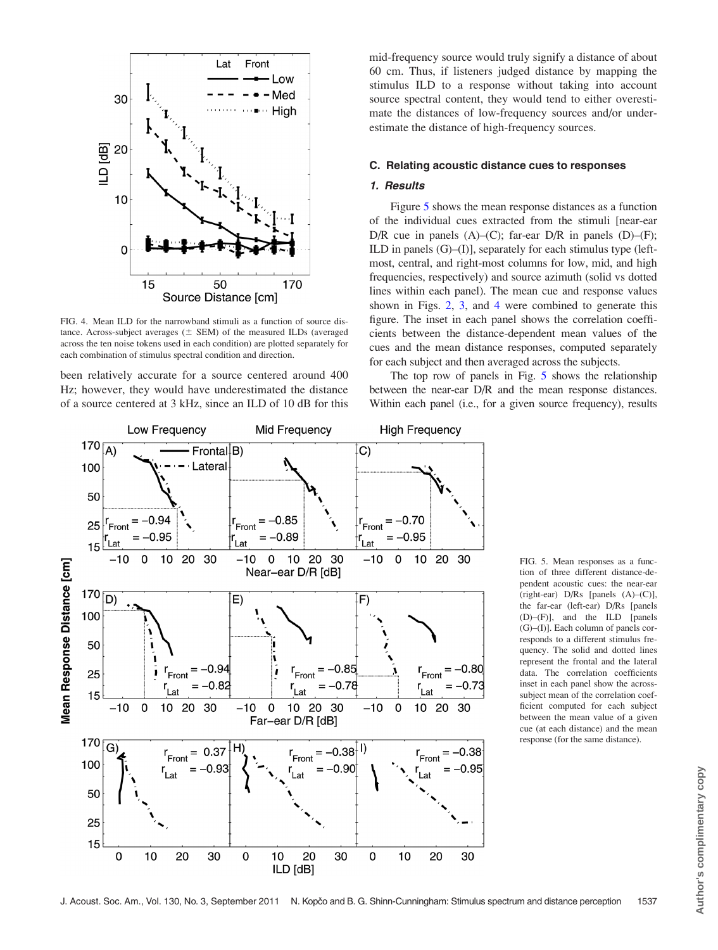<span id="page-7-0"></span>

FIG. 4. Mean ILD for the narrowband stimuli as a function of source distance. Across-subject averages  $(\pm$  SEM) of the measured ILDs (averaged across the ten noise tokens used in each condition) are plotted separately for each combination of stimulus spectral condition and direction.

been relatively accurate for a source centered around 400 Hz; however, they would have underestimated the distance of a source centered at 3 kHz, since an ILD of 10 dB for this

Mean Response Distance [cm]

Low Frequency Mid Frequency **High Frequency**  $170\overline{A}$ C)  $Frontal$ <sup>[B]</sup> 100 Lateral 50  $-0.94$  $-0.85$  $-0.70$ r<br>Front 25 l<br>Front Front 0.95 -0.89 -0.95  $=$ Lat 15 'Lat 20 10 20 30 20  $-10$  $\mathbf 0$ 10 30  $-10$  $\mathbf 0$  $-10$ 0 10 30 Near-ear D/R [dB] 170 D) E) F) 100 50  $-0.94$  $-0.85$  $-0.80$ r<br>Front r<br>Front r<br>Front 25  $-0.82$  $-0.78$ -0.73  $=$  $=$ r<br>Lat Lat 15 20  $-10$  $-10$  $\pmb{0}$ 10 30  $\mathbf 0$ 10 20 30  $-10$ 0 10 20 -30 Far-ear D/R [dB] 170 G  $r_{\text{Front}} = -0.38 \frac{1}{1}$  $r_{\text{Front}} = 0.37$ H  $r_{\text{Front}} = -0.38$ 100  $=-0.93$  $=-0.90$  $=-0.95$ r<br>Lat 50 25 15  $\mathbf 0$ 20 30  $\mathsf 0$ 30  $\mathbf 0$  $10$ 20 30 10 10 20

 $ILD[dB]$ 

mid-frequency source would truly signify a distance of about 60 cm. Thus, if listeners judged distance by mapping the stimulus ILD to a response without taking into account source spectral content, they would tend to either overestimate the distances of low-frequency sources and/or underestimate the distance of high-frequency sources.

#### C. Relating acoustic distance cues to responses

## 1. Results

Figure 5 shows the mean response distances as a function of the individual cues extracted from the stimuli [near-ear D/R cue in panels  $(A)$ – $(C)$ ; far-ear D/R in panels  $(D)$ – $(F)$ ; ILD in panels  $(G)$ – $(I)$ ], separately for each stimulus type (leftmost, central, and right-most columns for low, mid, and high frequencies, respectively) and source azimuth (solid vs dotted lines within each panel). The mean cue and response values shown in Figs. [2,](#page-4-0) [3](#page-6-0), and 4 were combined to generate this figure. The inset in each panel shows the correlation coefficients between the distance-dependent mean values of the cues and the mean distance responses, computed separately for each subject and then averaged across the subjects.

The top row of panels in Fig. 5 shows the relationship between the near-ear D/R and the mean response distances. Within each panel (i.e., for a given source frequency), results

> FIG. 5. Mean responses as a function of three different distance-dependent acoustic cues: the near-ear (right-ear) D/Rs [panels (A)–(C)], the far-ear (left-ear) D/Rs [panels (D)–(F)], and the ILD [panels (G)–(I)]. Each column of panels corresponds to a different stimulus frequency. The solid and dotted lines represent the frontal and the lateral data. The correlation coefficients inset in each panel show the acrosssubject mean of the correlation coefficient computed for each subject between the mean value of a given cue (at each distance) and the mean response (for the same distance).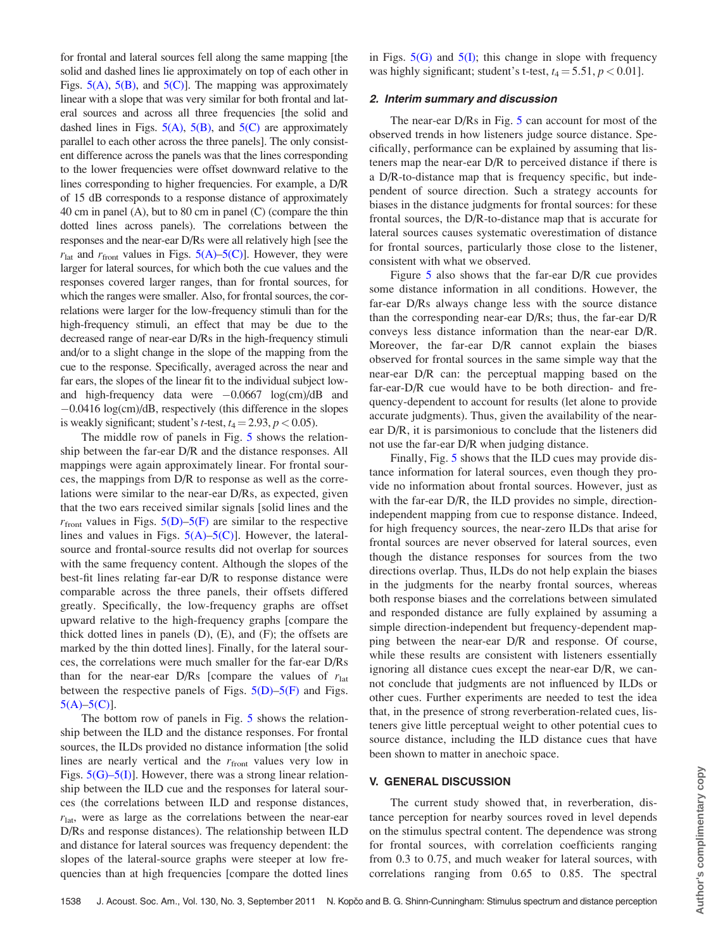<span id="page-8-0"></span>for frontal and lateral sources fell along the same mapping [the solid and dashed lines lie approximately on top of each other in Figs.  $5(A)$ ,  $5(B)$ , and  $5(C)$ ]. The mapping was approximately linear with a slope that was very similar for both frontal and lateral sources and across all three frequencies [the solid and dashed lines in Figs.  $5(A)$ ,  $5(B)$ , and  $5(C)$  are approximately parallel to each other across the three panels]. The only consistent difference across the panels was that the lines corresponding to the lower frequencies were offset downward relative to the lines corresponding to higher frequencies. For example, a D/R of 15 dB corresponds to a response distance of approximately 40 cm in panel (A), but to 80 cm in panel (C) (compare the thin dotted lines across panels). The correlations between the responses and the near-ear D/Rs were all relatively high [see the  $r_{\text{lat}}$  and  $r_{\text{front}}$  values in Figs. [5\(A\)–5\(C\)](#page-7-0)]. However, they were larger for lateral sources, for which both the cue values and the responses covered larger ranges, than for frontal sources, for which the ranges were smaller. Also, for frontal sources, the correlations were larger for the low-frequency stimuli than for the high-frequency stimuli, an effect that may be due to the decreased range of near-ear D/Rs in the high-frequency stimuli and/or to a slight change in the slope of the mapping from the cue to the response. Specifically, averaged across the near and far ears, the slopes of the linear fit to the individual subject lowand high-frequency data were  $-0.0667 \log(\text{cm})/\text{dB}$  and  $-0.0416 \log/cm$  /dB, respectively (this difference in the slopes is weakly significant; student's t-test,  $t_4 = 2.93, p < 0.05$ ).

The middle row of panels in Fig. [5](#page-7-0) shows the relationship between the far-ear D/R and the distance responses. All mappings were again approximately linear. For frontal sources, the mappings from D/R to response as well as the correlations were similar to the near-ear D/Rs, as expected, given that the two ears received similar signals [solid lines and the  $r_{front}$  values in Figs.  $5(D)$ –5(F) are similar to the respective lines and values in Figs.  $5(A)$ – $5(C)$ ]. However, the lateralsource and frontal-source results did not overlap for sources with the same frequency content. Although the slopes of the best-fit lines relating far-ear D/R to response distance were comparable across the three panels, their offsets differed greatly. Specifically, the low-frequency graphs are offset upward relative to the high-frequency graphs [compare the thick dotted lines in panels (D), (E), and (F); the offsets are marked by the thin dotted lines]. Finally, for the lateral sources, the correlations were much smaller for the far-ear D/Rs than for the near-ear D/Rs [compare the values of  $r_{\text{lat}}$ between the respective panels of Figs.  $5(D)$ – $5(F)$  and Figs.  $5(A) - 5(C)$ ].

The bottom row of panels in Fig. [5](#page-7-0) shows the relationship between the ILD and the distance responses. For frontal sources, the ILDs provided no distance information [the solid lines are nearly vertical and the  $r_{front}$  values very low in Figs.  $5(G)$ –5(I)]. However, there was a strong linear relationship between the ILD cue and the responses for lateral sources (the correlations between ILD and response distances,  $r_{\text{lat}}$ , were as large as the correlations between the near-ear D/Rs and response distances). The relationship between ILD and distance for lateral sources was frequency dependent: the slopes of the lateral-source graphs were steeper at low frequencies than at high frequencies [compare the dotted lines in Figs.  $5(G)$  and  $5(I)$ ; this change in slope with frequency was highly significant; student's t-test,  $t_4 = 5.51, p < 0.01$ .

#### 2. Interim summary and discussion

The near-ear D/Rs in Fig. [5](#page-7-0) can account for most of the observed trends in how listeners judge source distance. Specifically, performance can be explained by assuming that listeners map the near-ear D/R to perceived distance if there is a D/R-to-distance map that is frequency specific, but independent of source direction. Such a strategy accounts for biases in the distance judgments for frontal sources: for these frontal sources, the D/R-to-distance map that is accurate for lateral sources causes systematic overestimation of distance for frontal sources, particularly those close to the listener, consistent with what we observed.

Figure [5](#page-7-0) also shows that the far-ear D/R cue provides some distance information in all conditions. However, the far-ear D/Rs always change less with the source distance than the corresponding near-ear D/Rs; thus, the far-ear D/R conveys less distance information than the near-ear D/R. Moreover, the far-ear D/R cannot explain the biases observed for frontal sources in the same simple way that the near-ear D/R can: the perceptual mapping based on the far-ear-D/R cue would have to be both direction- and frequency-dependent to account for results (let alone to provide accurate judgments). Thus, given the availability of the nearear D/R, it is parsimonious to conclude that the listeners did not use the far-ear D/R when judging distance.

Finally, Fig. [5](#page-7-0) shows that the ILD cues may provide distance information for lateral sources, even though they provide no information about frontal sources. However, just as with the far-ear D/R, the ILD provides no simple, directionindependent mapping from cue to response distance. Indeed, for high frequency sources, the near-zero ILDs that arise for frontal sources are never observed for lateral sources, even though the distance responses for sources from the two directions overlap. Thus, ILDs do not help explain the biases in the judgments for the nearby frontal sources, whereas both response biases and the correlations between simulated and responded distance are fully explained by assuming a simple direction-independent but frequency-dependent mapping between the near-ear D/R and response. Of course, while these results are consistent with listeners essentially ignoring all distance cues except the near-ear D/R, we cannot conclude that judgments are not influenced by ILDs or other cues. Further experiments are needed to test the idea that, in the presence of strong reverberation-related cues, listeners give little perceptual weight to other potential cues to source distance, including the ILD distance cues that have been shown to matter in anechoic space.

# V. GENERAL DISCUSSION

The current study showed that, in reverberation, distance perception for nearby sources roved in level depends on the stimulus spectral content. The dependence was strong for frontal sources, with correlation coefficients ranging from 0.3 to 0.75, and much weaker for lateral sources, with correlations ranging from 0.65 to 0.85. The spectral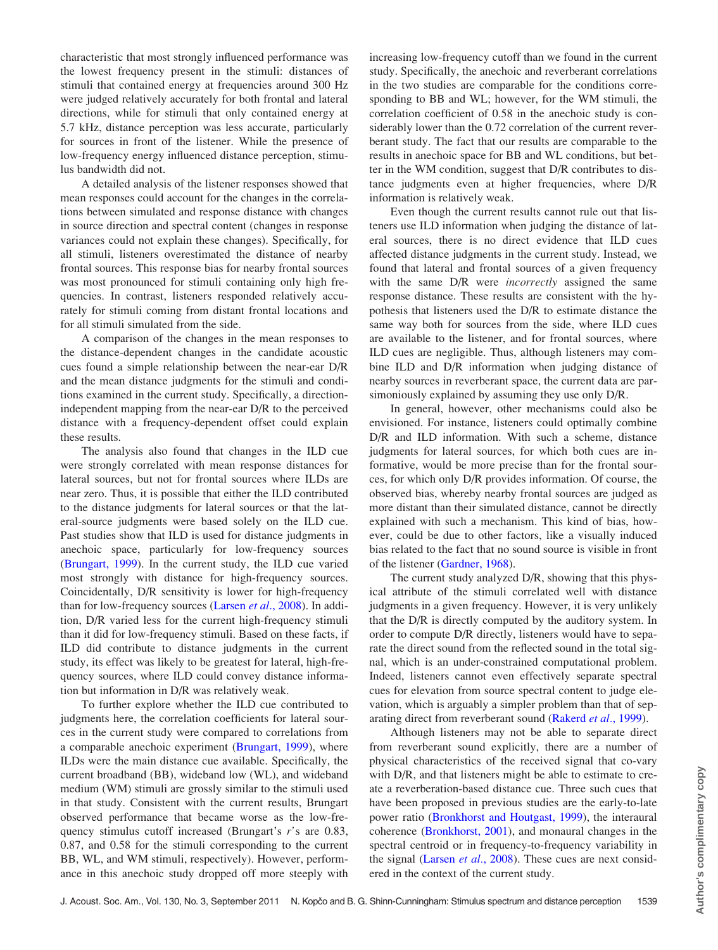characteristic that most strongly influenced performance was the lowest frequency present in the stimuli: distances of stimuli that contained energy at frequencies around 300 Hz were judged relatively accurately for both frontal and lateral directions, while for stimuli that only contained energy at 5.7 kHz, distance perception was less accurate, particularly for sources in front of the listener. While the presence of low-frequency energy influenced distance perception, stimulus bandwidth did not.

A detailed analysis of the listener responses showed that mean responses could account for the changes in the correlations between simulated and response distance with changes in source direction and spectral content (changes in response variances could not explain these changes). Specifically, for all stimuli, listeners overestimated the distance of nearby frontal sources. This response bias for nearby frontal sources was most pronounced for stimuli containing only high frequencies. In contrast, listeners responded relatively accurately for stimuli coming from distant frontal locations and for all stimuli simulated from the side.

A comparison of the changes in the mean responses to the distance-dependent changes in the candidate acoustic cues found a simple relationship between the near-ear D/R and the mean distance judgments for the stimuli and conditions examined in the current study. Specifically, a directionindependent mapping from the near-ear D/R to the perceived distance with a frequency-dependent offset could explain these results.

The analysis also found that changes in the ILD cue were strongly correlated with mean response distances for lateral sources, but not for frontal sources where ILDs are near zero. Thus, it is possible that either the ILD contributed to the distance judgments for lateral sources or that the lateral-source judgments were based solely on the ILD cue. Past studies show that ILD is used for distance judgments in anechoic space, particularly for low-frequency sources ([Brungart, 1999](#page-11-0)). In the current study, the ILD cue varied most strongly with distance for high-frequency sources. Coincidentally, D/R sensitivity is lower for high-frequency than for low-frequency sources [\(Larsen](#page-11-0) et al., 2008). In addition, D/R varied less for the current high-frequency stimuli than it did for low-frequency stimuli. Based on these facts, if ILD did contribute to distance judgments in the current study, its effect was likely to be greatest for lateral, high-frequency sources, where ILD could convey distance information but information in D/R was relatively weak.

To further explore whether the ILD cue contributed to judgments here, the correlation coefficients for lateral sources in the current study were compared to correlations from a comparable anechoic experiment [\(Brungart, 1999](#page-11-0)), where ILDs were the main distance cue available. Specifically, the current broadband (BB), wideband low (WL), and wideband medium (WM) stimuli are grossly similar to the stimuli used in that study. Consistent with the current results, Brungart observed performance that became worse as the low-frequency stimulus cutoff increased (Brungart's r's are 0.83, 0.87, and 0.58 for the stimuli corresponding to the current BB, WL, and WM stimuli, respectively). However, performance in this anechoic study dropped off more steeply with increasing low-frequency cutoff than we found in the current study. Specifically, the anechoic and reverberant correlations in the two studies are comparable for the conditions corresponding to BB and WL; however, for the WM stimuli, the correlation coefficient of 0.58 in the anechoic study is considerably lower than the 0.72 correlation of the current reverberant study. The fact that our results are comparable to the results in anechoic space for BB and WL conditions, but better in the WM condition, suggest that D/R contributes to distance judgments even at higher frequencies, where D/R information is relatively weak.

Even though the current results cannot rule out that listeners use ILD information when judging the distance of lateral sources, there is no direct evidence that ILD cues affected distance judgments in the current study. Instead, we found that lateral and frontal sources of a given frequency with the same D/R were *incorrectly* assigned the same response distance. These results are consistent with the hypothesis that listeners used the D/R to estimate distance the same way both for sources from the side, where ILD cues are available to the listener, and for frontal sources, where ILD cues are negligible. Thus, although listeners may combine ILD and D/R information when judging distance of nearby sources in reverberant space, the current data are parsimoniously explained by assuming they use only D/R.

In general, however, other mechanisms could also be envisioned. For instance, listeners could optimally combine D/R and ILD information. With such a scheme, distance judgments for lateral sources, for which both cues are informative, would be more precise than for the frontal sources, for which only D/R provides information. Of course, the observed bias, whereby nearby frontal sources are judged as more distant than their simulated distance, cannot be directly explained with such a mechanism. This kind of bias, however, could be due to other factors, like a visually induced bias related to the fact that no sound source is visible in front of the listener [\(Gardner, 1968\)](#page-11-0).

The current study analyzed D/R, showing that this physical attribute of the stimuli correlated well with distance judgments in a given frequency. However, it is very unlikely that the D/R is directly computed by the auditory system. In order to compute D/R directly, listeners would have to separate the direct sound from the reflected sound in the total signal, which is an under-constrained computational problem. Indeed, listeners cannot even effectively separate spectral cues for elevation from source spectral content to judge elevation, which is arguably a simpler problem than that of sep-arating direct from reverberant sound ([Rakerd](#page-11-0) *et al.*, 1999).

Although listeners may not be able to separate direct from reverberant sound explicitly, there are a number of physical characteristics of the received signal that co-vary with D/R, and that listeners might be able to estimate to create a reverberation-based distance cue. Three such cues that have been proposed in previous studies are the early-to-late power ratio ([Bronkhorst and Houtgast, 1999\)](#page-11-0), the interaural coherence [\(Bronkhorst, 2001](#page-11-0)), and monaural changes in the spectral centroid or in frequency-to-frequency variability in the signal ([Larsen](#page-11-0) et al., 2008). These cues are next considered in the context of the current study.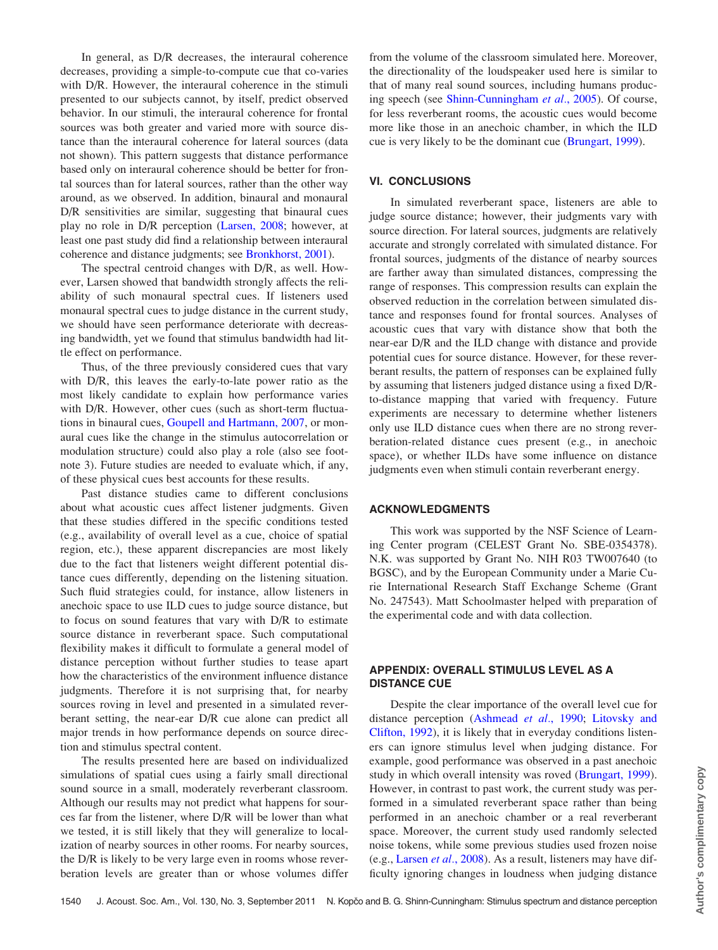In general, as D/R decreases, the interaural coherence decreases, providing a simple-to-compute cue that co-varies with D/R. However, the interaural coherence in the stimuli presented to our subjects cannot, by itself, predict observed behavior. In our stimuli, the interaural coherence for frontal sources was both greater and varied more with source distance than the interaural coherence for lateral sources (data not shown). This pattern suggests that distance performance based only on interaural coherence should be better for frontal sources than for lateral sources, rather than the other way around, as we observed. In addition, binaural and monaural D/R sensitivities are similar, suggesting that binaural cues play no role in D/R perception [\(Larsen, 2008](#page-11-0); however, at least one past study did find a relationship between interaural coherence and distance judgments; see [Bronkhorst, 2001\)](#page-11-0).

The spectral centroid changes with D/R, as well. However, Larsen showed that bandwidth strongly affects the reliability of such monaural spectral cues. If listeners used monaural spectral cues to judge distance in the current study, we should have seen performance deteriorate with decreasing bandwidth, yet we found that stimulus bandwidth had little effect on performance.

Thus, of the three previously considered cues that vary with D/R, this leaves the early-to-late power ratio as the most likely candidate to explain how performance varies with D/R. However, other cues (such as short-term fluctuations in binaural cues, [Goupell and Hartmann, 2007,](#page-11-0) or monaural cues like the change in the stimulus autocorrelation or modulation structure) could also play a role (also see footnote 3). Future studies are needed to evaluate which, if any, of these physical cues best accounts for these results.

Past distance studies came to different conclusions about what acoustic cues affect listener judgments. Given that these studies differed in the specific conditions tested (e.g., availability of overall level as a cue, choice of spatial region, etc.), these apparent discrepancies are most likely due to the fact that listeners weight different potential distance cues differently, depending on the listening situation. Such fluid strategies could, for instance, allow listeners in anechoic space to use ILD cues to judge source distance, but to focus on sound features that vary with D/R to estimate source distance in reverberant space. Such computational flexibility makes it difficult to formulate a general model of distance perception without further studies to tease apart how the characteristics of the environment influence distance judgments. Therefore it is not surprising that, for nearby sources roving in level and presented in a simulated reverberant setting, the near-ear D/R cue alone can predict all major trends in how performance depends on source direction and stimulus spectral content.

The results presented here are based on individualized simulations of spatial cues using a fairly small directional sound source in a small, moderately reverberant classroom. Although our results may not predict what happens for sources far from the listener, where D/R will be lower than what we tested, it is still likely that they will generalize to localization of nearby sources in other rooms. For nearby sources, the D/R is likely to be very large even in rooms whose reverberation levels are greater than or whose volumes differ from the volume of the classroom simulated here. Moreover, the directionality of the loudspeaker used here is similar to that of many real sound sources, including humans producing speech (see [Shinn-Cunningham](#page-11-0) et al., 2005). Of course, for less reverberant rooms, the acoustic cues would become more like those in an anechoic chamber, in which the ILD cue is very likely to be the dominant cue ([Brungart, 1999](#page-11-0)).

# VI. CONCLUSIONS

In simulated reverberant space, listeners are able to judge source distance; however, their judgments vary with source direction. For lateral sources, judgments are relatively accurate and strongly correlated with simulated distance. For frontal sources, judgments of the distance of nearby sources are farther away than simulated distances, compressing the range of responses. This compression results can explain the observed reduction in the correlation between simulated distance and responses found for frontal sources. Analyses of acoustic cues that vary with distance show that both the near-ear D/R and the ILD change with distance and provide potential cues for source distance. However, for these reverberant results, the pattern of responses can be explained fully by assuming that listeners judged distance using a fixed D/Rto-distance mapping that varied with frequency. Future experiments are necessary to determine whether listeners only use ILD distance cues when there are no strong reverberation-related distance cues present (e.g., in anechoic space), or whether ILDs have some influence on distance judgments even when stimuli contain reverberant energy.

## ACKNOWLEDGMENTS

This work was supported by the NSF Science of Learning Center program (CELEST Grant No. SBE-0354378). N.K. was supported by Grant No. NIH R03 TW007640 (to BGSC), and by the European Community under a Marie Curie International Research Staff Exchange Scheme (Grant No. 247543). Matt Schoolmaster helped with preparation of the experimental code and with data collection.

# APPENDIX: OVERALL STIMULUS LEVEL AS A DISTANCE CUE

Despite the clear importance of the overall level cue for distance perception ([Ashmead](#page-11-0) et al., 1990; [Litovsky and](#page-11-0) [Clifton, 1992\)](#page-11-0), it is likely that in everyday conditions listeners can ignore stimulus level when judging distance. For example, good performance was observed in a past anechoic study in which overall intensity was roved ([Brungart, 1999\)](#page-11-0). However, in contrast to past work, the current study was performed in a simulated reverberant space rather than being performed in an anechoic chamber or a real reverberant space. Moreover, the current study used randomly selected noise tokens, while some previous studies used frozen noise (e.g., [Larsen](#page-11-0) et al., 2008). As a result, listeners may have difficulty ignoring changes in loudness when judging distance